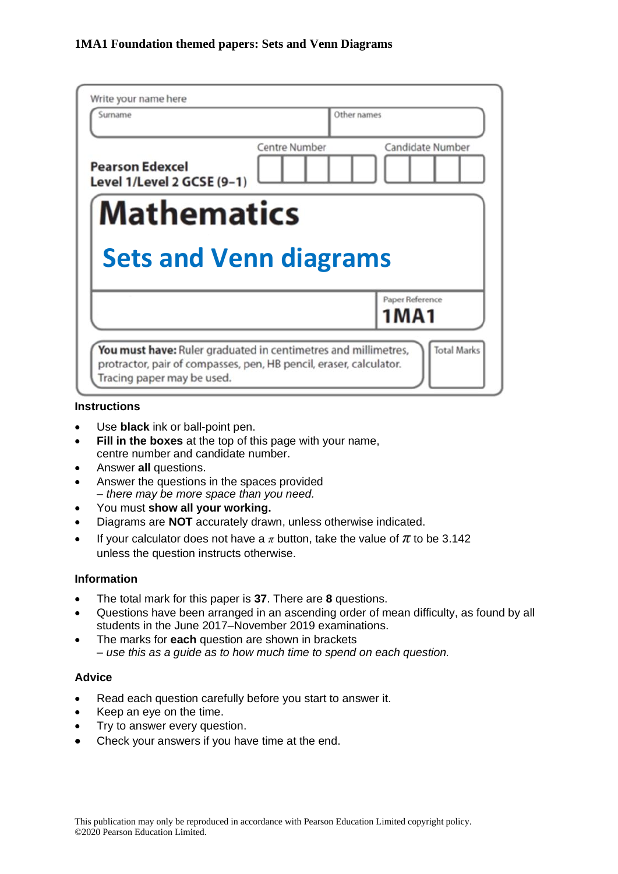| Write your name here<br>Surname                      | Other names   |                            |
|------------------------------------------------------|---------------|----------------------------|
| <b>Pearson Edexcel</b><br>Level 1/Level 2 GCSE (9-1) | Centre Number | Candidate Number           |
|                                                      |               |                            |
| <b>Mathematics</b>                                   |               |                            |
| <b>Sets and Venn diagrams</b>                        |               |                            |
|                                                      |               | Paper Reference<br>1 M A 1 |

#### **Instructions**

- Use **black** ink or ball-point pen.
- **Fill in the boxes** at the top of this page with your name, centre number and candidate number.
- Answer **all** questions.
- Answer the questions in the spaces provided *– there may be more space than you need.*
- You must **show all your working.**
- Diagrams are **NOT** accurately drawn, unless otherwise indicated.
- If your calculator does not have a  $\pi$  button, take the value of  $\pi$  to be 3.142 unless the question instructs otherwise.

## **Information**

- The total mark for this paper is **37**. There are **8** questions.
- Questions have been arranged in an ascending order of mean difficulty, as found by all students in the June 2017–November 2019 examinations.
- The marks for **each** question are shown in brackets *– use this as a guide as to how much time to spend on each question.*

#### **Advice**

- Read each question carefully before you start to answer it.
- Keep an eye on the time.
- Try to answer every question.
- Check your answers if you have time at the end.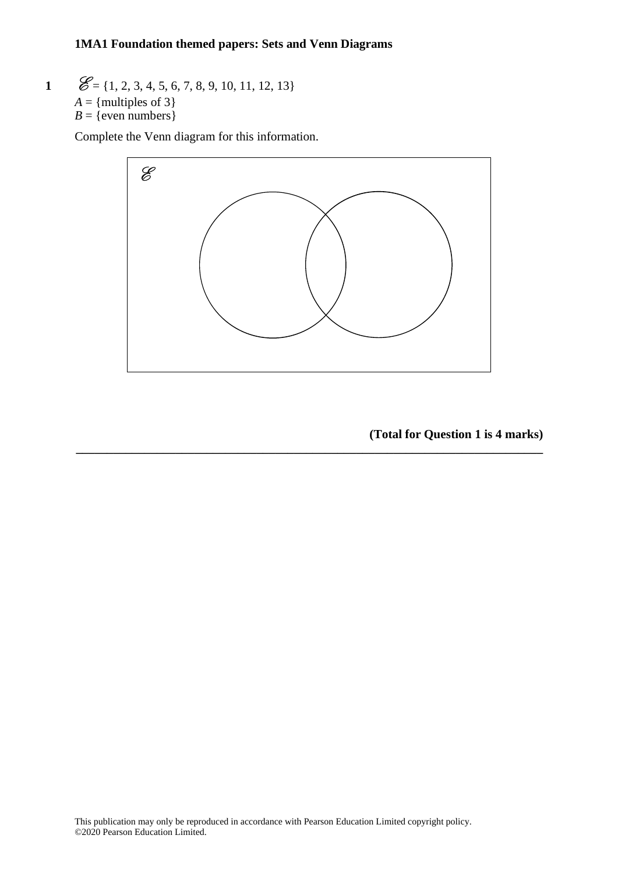#### **1MA1 Foundation themed papers: Sets and Venn Diagrams**  $20$   $\overline{11}$

**1**  $\mathscr{E} = \{1, 2, 3, 4, 5, 6, 7, 8, 9, 10, 11, 12, 13\}$  $A =$ {multiples of 3}  $B = \{$  even numbers  $\}$  $\mathcal{L} = \{1, 2, 3, 4, 5, 6, \}$ 

Complete the Venn diagram for this information.



**\_\_\_\_\_\_\_\_\_\_\_\_\_\_\_\_\_\_\_\_\_\_\_\_\_\_\_\_\_\_\_\_\_\_\_\_\_\_\_\_\_\_\_\_\_\_\_\_\_\_\_\_\_\_\_\_\_\_\_\_\_\_\_\_\_\_\_\_\_\_\_\_\_\_\_**

**(Total for Question 1 is 4 marks)**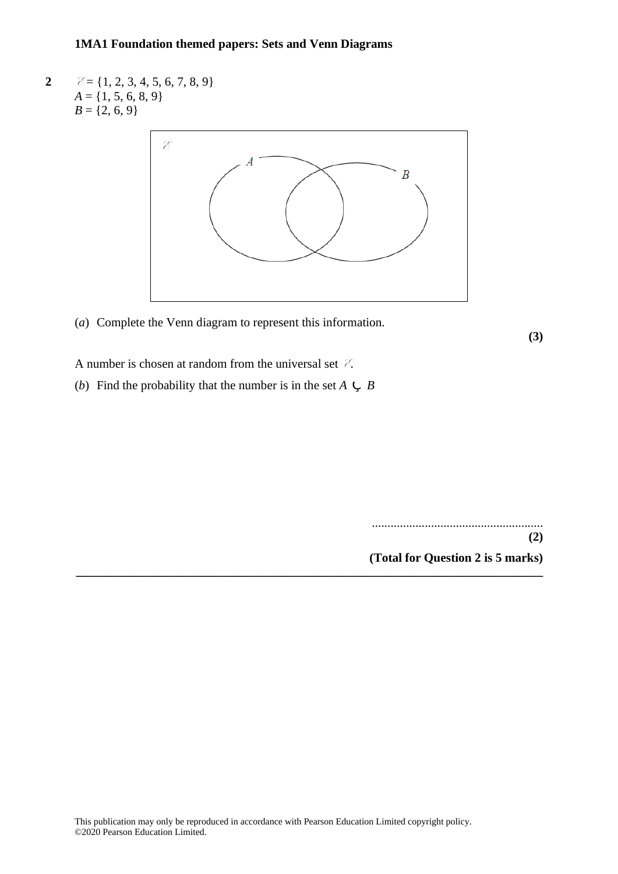**2**  $\mathscr{E} = \{1, 2, 3, 4, 5, 6, 7, 8, 9\}$  $A = \{1, 5, 6, 8, 9\}$  $B = \{2, 6, 9\}$ 



**\_\_\_\_\_\_\_\_\_\_\_\_\_\_\_\_\_\_\_\_\_\_\_\_\_\_\_\_\_\_\_\_\_\_\_\_\_\_\_\_\_\_\_\_\_\_\_\_\_\_\_\_\_\_\_\_\_\_\_\_\_\_\_\_\_\_\_\_\_\_\_\_\_\_\_**

(*a*) Complete the Venn diagram to represent this information.

**(3)**

A number is chosen at random from the universal set  $\mathscr{E}$ .

(*b*) Find the probability that the number is in the set  $A \subseteq B$ 

.......................................................

**(2) (Total for Question 2 is 5 marks)**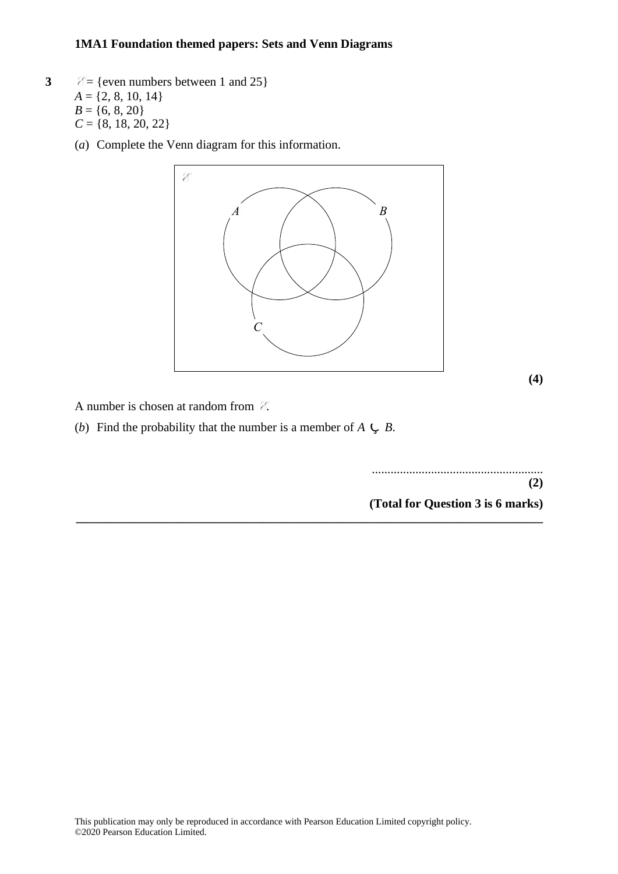- **3**  $\mathcal{E} = \{\text{even numbers between 1 and 25}\}\$  $A = \{2, 8, 10, 14\}$  $B = \{6, 8, 20\}$  $C = \{8, 18, 20, 22\}$ 
	- (*a*) Complete the Venn diagram for this information. (a) Complete the Venn diagram for this information.



**\_\_\_\_\_\_\_\_\_\_\_\_\_\_\_\_\_\_\_\_\_\_\_\_\_\_\_\_\_\_\_\_\_\_\_\_\_\_\_\_\_\_\_\_\_\_\_\_\_\_\_\_\_\_\_\_\_\_\_\_\_\_\_\_\_\_\_\_\_\_\_\_\_\_\_**

**(4) (4)**

A number is chosen at random from E. A number is chosen at random from **E**.

(*b*) Find the probability that the number is a member of  $A \subsetneq B$ .

....................................................... ....................................................... **(2) (2)**

**(Total for Question 3 is 6 marks) (Total for Question 20 is 6 marks)**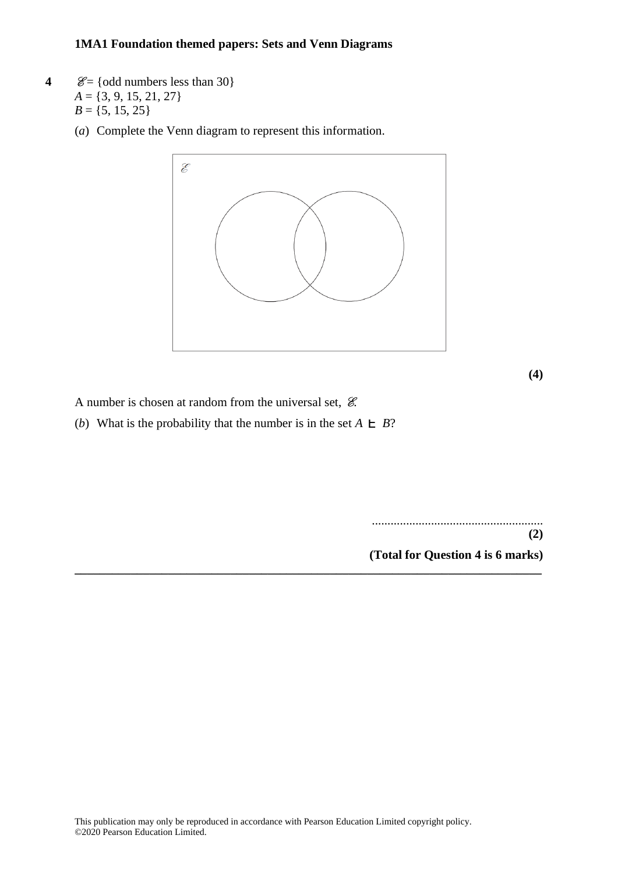- **4**  $\mathcal{E} = \{odd \text{ numbers less than } 30\}$ *A* = {3, 9, 15, 21, 27}  $B = \{5, 15, 25\}$ 
	- (*a*) Complete the Venn diagram to represent this information.



**\_\_\_\_\_\_\_\_\_\_\_\_\_\_\_\_\_\_\_\_\_\_\_\_\_\_\_\_\_\_\_\_\_\_\_\_\_\_\_\_\_\_\_\_\_\_\_\_\_\_\_\_\_\_\_\_\_\_\_\_\_\_\_\_\_\_\_\_\_\_\_\_\_\_\_**

**(4)**

A number is chosen at random from the universal set,  $\mathcal E$ .

(*b*) What is the probability that the number is in the set  $A \rvert B$ ?

....................................................... **(2)**

**(Total for Question 4 is 6 marks)**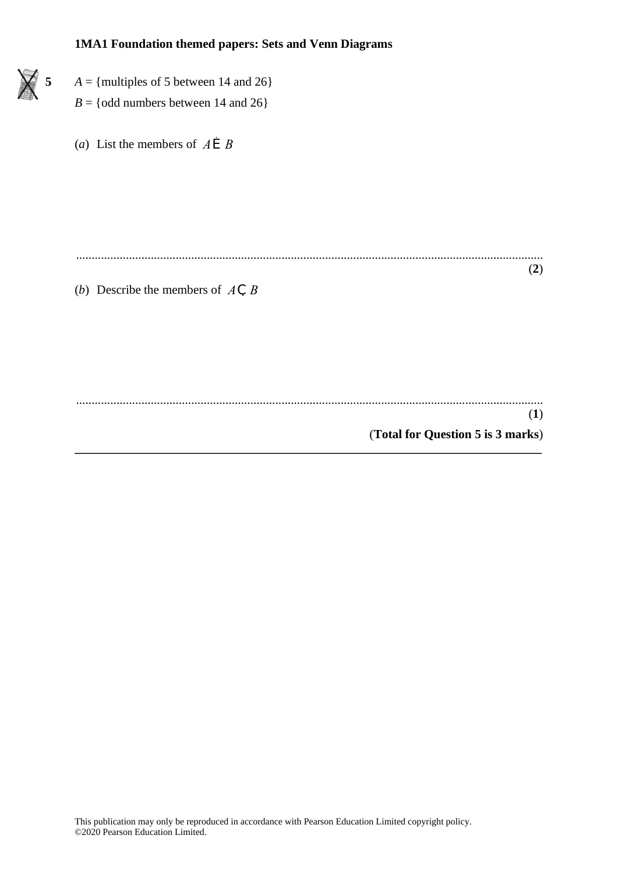- **5**  $A = \{\text{multiples of 5 between 14 and 26}\}\$ 
	- $B = \{odd \text{ numbers between } 14 \text{ and } 26\}$
	- (*a*) List the members of  $A \r B B$

...................................................................................................................................................... (**2**)

(*b*) Describe the members of *A*Ç *B*

...................................................................................................................................................... (**1**) (**Total for Question 5 is 3 marks**) **\_\_\_\_\_\_\_\_\_\_\_\_\_\_\_\_\_\_\_\_\_\_\_\_\_\_\_\_\_\_\_\_\_\_\_\_\_\_\_\_\_\_\_\_\_\_\_\_\_\_\_\_\_\_\_\_\_\_\_\_\_\_\_\_\_\_\_\_\_\_\_\_\_\_\_**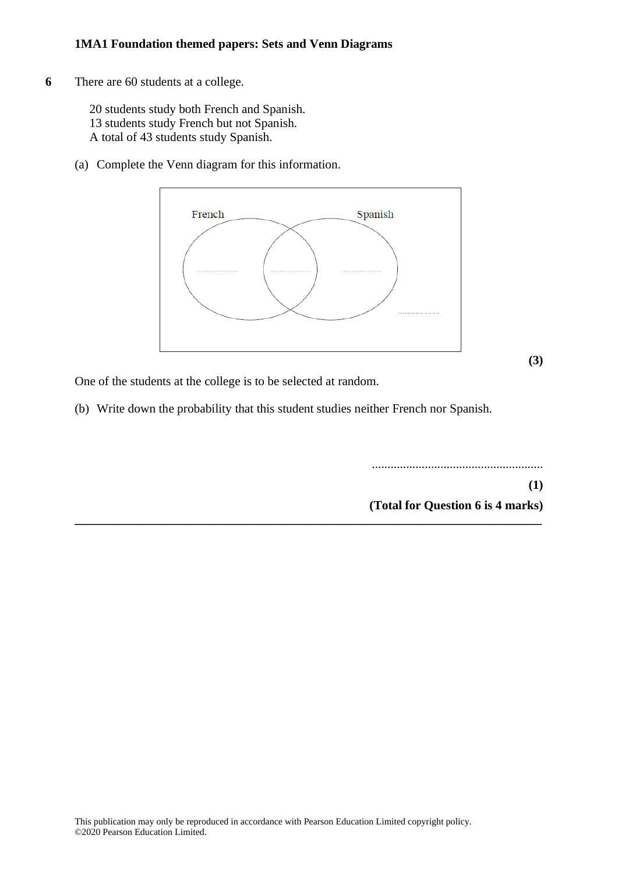**6** There are 60 students at a college.

20 students study both French and Spanish. 13 students study French but not Spanish. A total of 43 students study Spanish.

(a) Complete the Venn diagram for this information.



**(3)**

One of the students at the college is to be selected at random.

(b) Write down the probability that this student studies neither French nor Spanish.

**\_\_\_\_\_\_\_\_\_\_\_\_\_\_\_\_\_\_\_\_\_\_\_\_\_\_\_\_\_\_\_\_\_\_\_\_\_\_\_\_\_\_\_\_\_\_\_\_\_\_\_\_\_\_\_\_\_\_\_\_\_\_\_\_\_\_\_\_\_\_\_\_\_\_\_**

.......................................................

**(1) (Total for Question 6 is 4 marks)**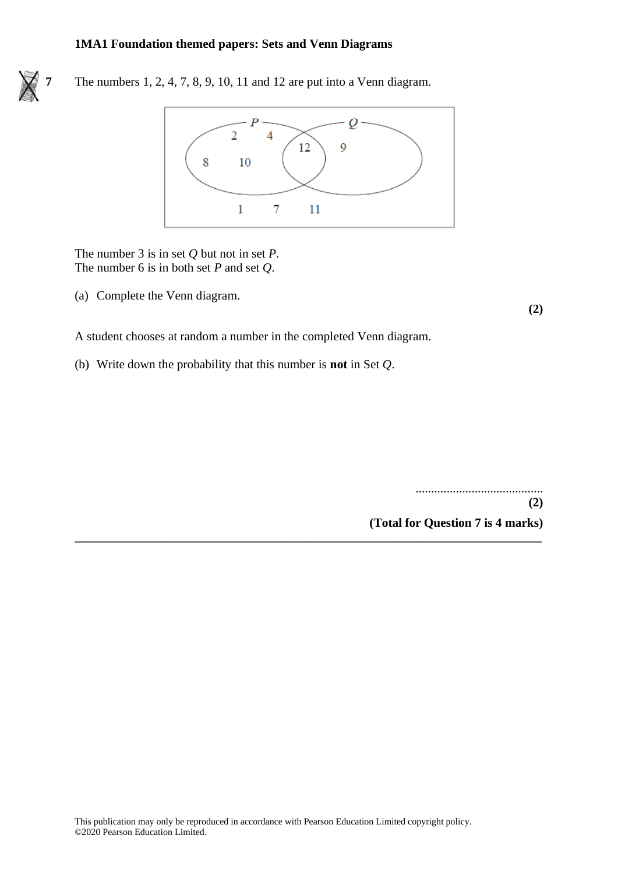

**7** The numbers 1, 2, 4, 7, 8, 9, 10, 11 and 12 are put into a Venn diagram.



**\_\_\_\_\_\_\_\_\_\_\_\_\_\_\_\_\_\_\_\_\_\_\_\_\_\_\_\_\_\_\_\_\_\_\_\_\_\_\_\_\_\_\_\_\_\_\_\_\_\_\_\_\_\_\_\_\_\_\_\_\_\_\_\_\_\_\_\_\_\_\_\_\_\_\_**

The number 3 is in set *Q* but not in set *P*. The number 6 is in both set *P* and set *Q*.

(a) Complete the Venn diagram.

**(2)**

A student chooses at random a number in the completed Venn diagram.

(b) Write down the probability that this number is **not** in Set *Q*.

......................................... **(2) (Total for Question 7 is 4 marks)**